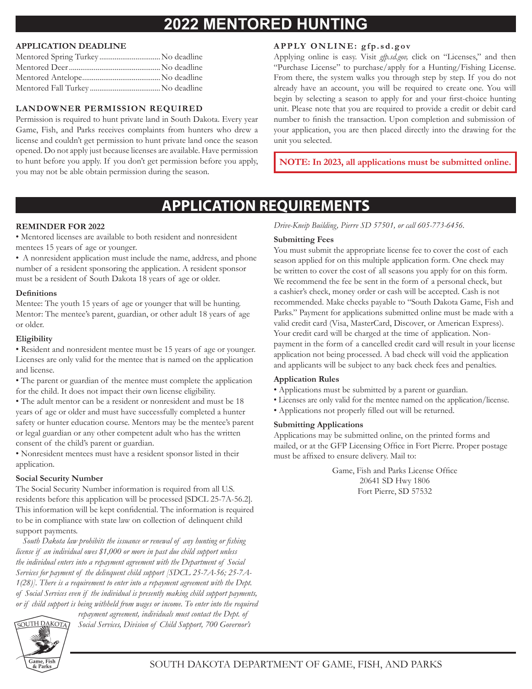# **2022 MENTORED HUNTING**

### **APPLICATION DEADLINE**

| Mentored Spring Turkey No deadline |  |
|------------------------------------|--|
|                                    |  |
|                                    |  |
|                                    |  |

## **LANDOWNER PERMISSION REQUIRED**

Permission is required to hunt private land in South Dakota. Every year Game, Fish, and Parks receives complaints from hunters who drew a license and couldn't get permission to hunt private land once the season opened. Do not apply just because licenses are available. Have permission to hunt before you apply. If you don't get permission before you apply, you may not be able obtain permission during the season.

## **APPLY ONLINE: gfp.sd.gov**

Applying online is easy. Visit *gfp.sd.gov,* click on "Licenses," and then "Purchase License" to purchase/apply for a Hunting/Fishing License. From there, the system walks you through step by step. If you do not already have an account, you will be required to create one. You will begin by selecting a season to apply for and your first-choice hunting unit. Please note that you are required to provide a credit or debit card number to finish the transaction. Upon completion and submission of your application, you are then placed directly into the drawing for the unit you selected.

**NOTE: In 2023, all applications must be submitted online.**

# **APPLICATION REQUIREMENTS**

## **REMINDER FOR 2022**

• Mentored licenses are available to both resident and nonresident mentees 15 years of age or younger.

• A nonresident application must include the name, address, and phone number of a resident sponsoring the application. A resident sponsor must be a resident of South Dakota 18 years of age or older.

#### **Definitions**

Mentee: The youth 15 years of age or younger that will be hunting. Mentor: The mentee's parent, guardian, or other adult 18 years of age or older.

### **Eligibility**

• Resident and nonresident mentee must be 15 years of age or younger. Licenses are only valid for the mentee that is named on the application and license.

• The parent or guardian of the mentee must complete the application for the child. It does not impact their own license eligibility.

• The adult mentor can be a resident or nonresident and must be 18 years of age or older and must have successfully completed a hunter safety or hunter education course. Mentors may be the mentee's parent or legal guardian or any other competent adult who has the written consent of the child's parent or guardian.

• Nonresident mentees must have a resident sponsor listed in their application.

### **Social Security Number**

The Social Security Number information is required from all U.S. residents before this application will be processed [SDCL 25-7A-56.2]. This information will be kept confidential. The information is required to be in compliance with state law on collection of delinquent child support payments.

 *South Dakota law prohibits the issuance or renewal of any hunting or fishing license if an individual owes \$1,000 or more in past due child support unless the individual enters into a repayment agreement with the Department of Social Services for payment of the delinquent child support [SDCL 25-7A-56; 25-7A-1(28)]. There is a requirement to enter into a repayment agreement with the Dept. of Social Services even if the individual is presently making child support payments, or if child support is being withheld from wages or income. To enter into the required* 



*repayment agreement, individuals must contact the Dept. of* 

*Social Services, Division of Child Support, 700 Governor's* 

*Drive-Kneip Building, Pierre SD 57501, or call 605-773-6456.*

### **Submitting Fees**

You must submit the appropriate license fee to cover the cost of each season applied for on this multiple application form. One check may be written to cover the cost of all seasons you apply for on this form. We recommend the fee be sent in the form of a personal check, but a cashier's check, money order or cash will be accepted. Cash is not recommended. Make checks payable to "South Dakota Game, Fish and Parks." Payment for applications submitted online must be made with a valid credit card (Visa, MasterCard, Discover, or American Express). Your credit card will be charged at the time of application. Nonpayment in the form of a cancelled credit card will result in your license application not being processed. A bad check will void the application and applicants will be subject to any back check fees and penalties.

### **Application Rules**

- Applications must be submitted by a parent or guardian.
- Licenses are only valid for the mentee named on the application/license.
- Applications not properly filled out will be returned.

### **Submitting Applications**

Applications may be submitted online, on the printed forms and mailed, or at the GFP Licensing Office in Fort Pierre. Proper postage must be affixed to ensure delivery. Mail to:

> Game, Fish and Parks License Office 20641 SD Hwy 1806 Fort Pierre, SD 57532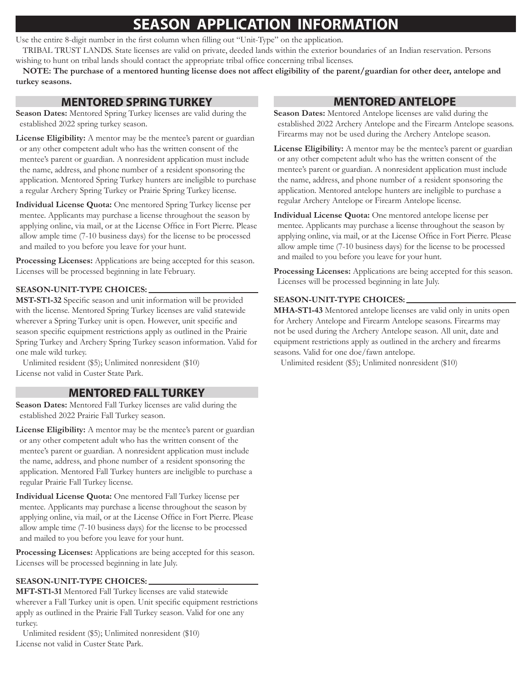# **SEASON APPLICATION INFORMATION**

Use the entire 8-digit number in the first column when filling out "Unit-Type" on the application.

TRIBAL TRUST LANDS. State licenses are valid on private, deeded lands within the exterior boundaries of an Indian reservation. Persons wishing to hunt on tribal lands should contact the appropriate tribal office concerning tribal licenses.

**NOTE: The purchase of a mentored hunting license does not affect eligibility of the parent/guardian for other deer, antelope and turkey seasons.**

## **MENTORED SPRING TURKEY**

**Season Dates:** Mentored Spring Turkey licenses are valid during the established 2022 spring turkey season.

**License Eligibility:** A mentor may be the mentee's parent or guardian or any other competent adult who has the written consent of the mentee's parent or guardian. A nonresident application must include the name, address, and phone number of a resident sponsoring the application. Mentored Spring Turkey hunters are ineligible to purchase a regular Archery Spring Turkey or Prairie Spring Turkey license.

**Individual License Quota:** One mentored Spring Turkey license per mentee. Applicants may purchase a license throughout the season by applying online, via mail, or at the License Office in Fort Pierre. Please allow ample time (7-10 business days) for the license to be processed and mailed to you before you leave for your hunt.

**Processing Licenses:** Applications are being accepted for this season. Licenses will be processed beginning in late February.

### **SEASON-UNIT-TYPE CHOICES:**

**MST-ST1-32** Specific season and unit information will be provided with the license. Mentored Spring Turkey licenses are valid statewide wherever a Spring Turkey unit is open. However, unit specific and season specific equipment restrictions apply as outlined in the Prairie Spring Turkey and Archery Spring Turkey season information. Valid for one male wild turkey.

Unlimited resident (\$5); Unlimited nonresident (\$10) License not valid in Custer State Park.

## **MENTORED FALL TURKEY**

**Season Dates:** Mentored Fall Turkey licenses are valid during the established 2022 Prairie Fall Turkey season.

**License Eligibility:** A mentor may be the mentee's parent or guardian or any other competent adult who has the written consent of the mentee's parent or guardian. A nonresident application must include the name, address, and phone number of a resident sponsoring the application. Mentored Fall Turkey hunters are ineligible to purchase a regular Prairie Fall Turkey license.

**Individual License Quota:** One mentored Fall Turkey license per mentee. Applicants may purchase a license throughout the season by applying online, via mail, or at the License Office in Fort Pierre. Please allow ample time (7-10 business days) for the license to be processed and mailed to you before you leave for your hunt.

**Processing Licenses:** Applications are being accepted for this season. Licenses will be processed beginning in late July.

### **SEASON-UNIT-TYPE CHOICES:**

**MFT-ST1-31** Mentored Fall Turkey licenses are valid statewide wherever a Fall Turkey unit is open. Unit specific equipment restrictions apply as outlined in the Prairie Fall Turkey season. Valid for one any turkey.

Unlimited resident (\$5); Unlimited nonresident (\$10) License not valid in Custer State Park.

# **MENTORED ANTELOPE**

**Season Dates:** Mentored Antelope licenses are valid during the established 2022 Archery Antelope and the Firearm Antelope seasons. Firearms may not be used during the Archery Antelope season.

**License Eligibility:** A mentor may be the mentee's parent or guardian or any other competent adult who has the written consent of the mentee's parent or guardian. A nonresident application must include the name, address, and phone number of a resident sponsoring the application. Mentored antelope hunters are ineligible to purchase a regular Archery Antelope or Firearm Antelope license.

**Individual License Quota:** One mentored antelope license per mentee. Applicants may purchase a license throughout the season by applying online, via mail, or at the License Office in Fort Pierre. Please allow ample time (7-10 business days) for the license to be processed and mailed to you before you leave for your hunt.

**Processing Licenses:** Applications are being accepted for this season. Licenses will be processed beginning in late July.

#### **SEASON-UNIT-TYPE CHOICES:**

**MHA-ST1-43** Mentored antelope licenses are valid only in units open for Archery Antelope and Firearm Antelope seasons. Firearms may not be used during the Archery Antelope season. All unit, date and equipment restrictions apply as outlined in the archery and firearms seasons. Valid for one doe/fawn antelope.

Unlimited resident (\$5); Unlimited nonresident (\$10)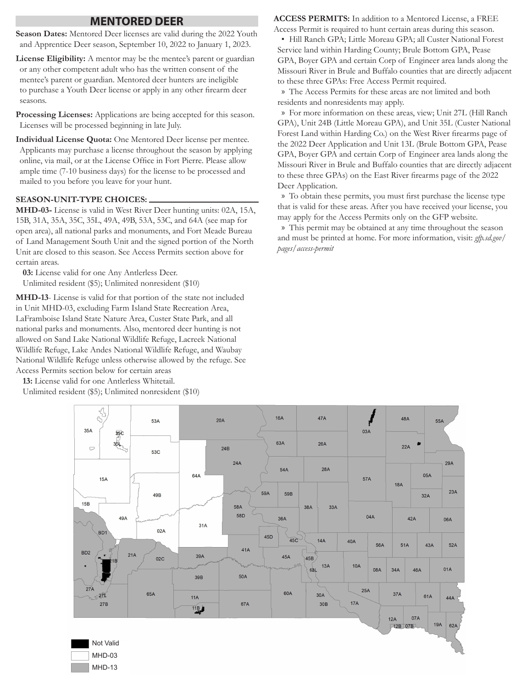### **MENTORED DEER**

**Season Dates:** Mentored Deer licenses are valid during the 2022 Youth and Apprentice Deer season, September 10, 2022 to January 1, 2023.

- **License Eligibility:** A mentor may be the mentee's parent or guardian or any other competent adult who has the written consent of the mentee's parent or guardian. Mentored deer hunters are ineligible to purchase a Youth Deer license or apply in any other firearm deer seasons.
- **Processing Licenses:** Applications are being accepted for this season. Licenses will be processed beginning in late July.

**Individual License Quota:** One Mentored Deer license per mentee. Applicants may purchase a license throughout the season by applying online, via mail, or at the License Office in Fort Pierre. Please allow ample time (7-10 business days) for the license to be processed and mailed to you before you leave for your hunt.

#### **SEASON-UNIT-TYPE CHOICES:**

**MHD-03-** License is valid in West River Deer hunting units: 02A, 15A, 15B, 31A, 35A, 35C, 35L, 49A, 49B, 53A, 53C, and 64A (see map for open area), all national parks and monuments, and Fort Meade Bureau of Land Management South Unit and the signed portion of the North Unit are closed to this season. See Access Permits section above for certain areas.

**03:** License valid for one Any Antlerless Deer. Unlimited resident (\$5); Unlimited nonresident (\$10)

**MHD-13**- License is valid for that portion of the state not included in Unit MHD-03, excluding Farm Island State Recreation Area, LaFramboise Island State Nature Area, Custer State Park, and all national parks and monuments. Also, mentored deer hunting is not allowed on Sand Lake National Wildlife Refuge, Lacreek National Wildlife Refuge, Lake Andes National Wildlife Refuge, and Waubay National Wildlife Refuge unless otherwise allowed by the refuge. See Access Permits section below for certain areas

**13:** License valid for one Antlerless Whitetail.

Unlimited resident (\$5); Unlimited nonresident (\$10)

**ACCESS PERMITS:** In addition to a Mentored License, a FREE Access Permit is required to hunt certain areas during this season.

• Hill Ranch GPA; Little Moreau GPA; all Custer National Forest Service land within Harding County; Brule Bottom GPA, Pease GPA, Boyer GPA and certain Corp of Engineer area lands along the Missouri River in Brule and Buffalo counties that are directly adjacent to these three GPAs: Free Access Permit required.

» The Access Permits for these areas are not limited and both residents and nonresidents may apply.

» For more information on these areas, view; Unit 27L (Hill Ranch GPA), Unit 24B (Little Moreau GPA), and Unit 35L (Custer National Forest Land within Harding Co.) on the West River firearms page of the 2022 Deer Application and Unit 13L (Brule Bottom GPA, Pease GPA, Boyer GPA and certain Corp of Engineer area lands along the Missouri River in Brule and Buffalo counties that are directly adjacent to these three GPAs) on the East River firearms page of the 2022 Deer Application.

» To obtain these permits, you must first purchase the license type that is valid for these areas. After you have received your license, you may apply for the Access Permits only on the GFP website.

» This permit may be obtained at any time throughout the season and must be printed at home. For more information, visit: *gfp.sd.gov/ pages/access-permit*

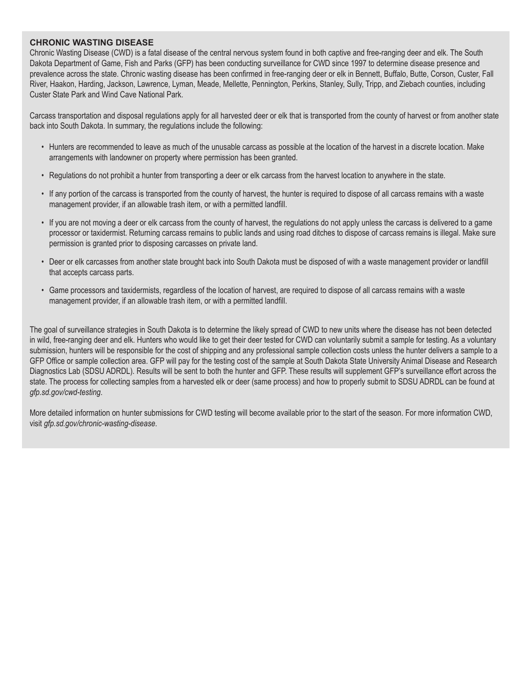#### **CHRONIC WASTING DISEASE**

Chronic Wasting Disease (CWD) is a fatal disease of the central nervous system found in both captive and free-ranging deer and elk. The South Dakota Department of Game, Fish and Parks (GFP) has been conducting surveillance for CWD since 1997 to determine disease presence and prevalence across the state. Chronic wasting disease has been confirmed in free-ranging deer or elk in Bennett, Buffalo, Butte, Corson, Custer, Fall River, Haakon, Harding, Jackson, Lawrence, Lyman, Meade, Mellette, Pennington, Perkins, Stanley, Sully, Tripp, and Ziebach counties, including Custer State Park and Wind Cave National Park.

Carcass transportation and disposal regulations apply for all harvested deer or elk that is transported from the county of harvest or from another state back into South Dakota. In summary, the regulations include the following:

- Hunters are recommended to leave as much of the unusable carcass as possible at the location of the harvest in a discrete location. Make arrangements with landowner on property where permission has been granted.
- Regulations do not prohibit a hunter from transporting a deer or elk carcass from the harvest location to anywhere in the state.
- If any portion of the carcass is transported from the county of harvest, the hunter is required to dispose of all carcass remains with a waste management provider, if an allowable trash item, or with a permitted landfill.
- If you are not moving a deer or elk carcass from the county of harvest, the regulations do not apply unless the carcass is delivered to a game processor or taxidermist. Returning carcass remains to public lands and using road ditches to dispose of carcass remains is illegal. Make sure permission is granted prior to disposing carcasses on private land.
- Deer or elk carcasses from another state brought back into South Dakota must be disposed of with a waste management provider or landfill that accepts carcass parts.
- Game processors and taxidermists, regardless of the location of harvest, are required to dispose of all carcass remains with a waste management provider, if an allowable trash item, or with a permitted landfill.

The goal of surveillance strategies in South Dakota is to determine the likely spread of CWD to new units where the disease has not been detected in wild, free-ranging deer and elk. Hunters who would like to get their deer tested for CWD can voluntarily submit a sample for testing. As a voluntary submission, hunters will be responsible for the cost of shipping and any professional sample collection costs unless the hunter delivers a sample to a GFP Office or sample collection area. GFP will pay for the testing cost of the sample at South Dakota State University Animal Disease and Research Diagnostics Lab (SDSU ADRDL). Results will be sent to both the hunter and GFP. These results will supplement GFP's surveillance effort across the state. The process for collecting samples from a harvested elk or deer (same process) and how to properly submit to SDSU ADRDL can be found at *gfp.sd.gov/cwd-testing*.

More detailed information on hunter submissions for CWD testing will become available prior to the start of the season. For more information CWD, visit *gfp.sd.gov/chronic-wasting-disease*.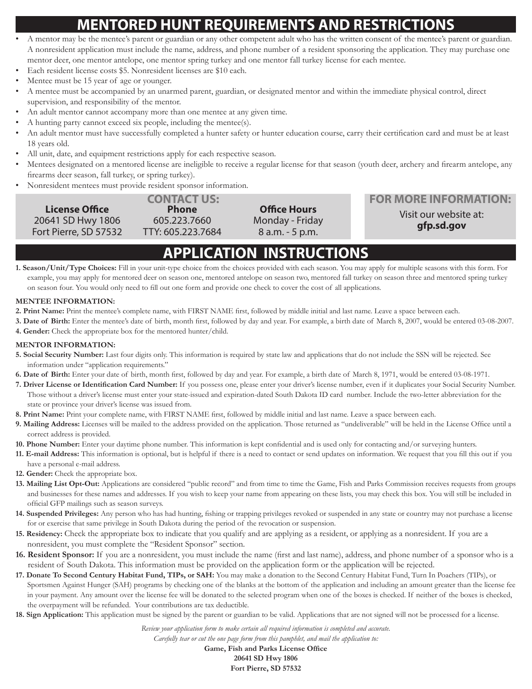# **MENTORED HUNT REQUIREMENTS AND RESTRICTIONS**

- A mentor may be the mentee's parent or guardian or any other competent adult who has the written consent of the mentee's parent or guardian. A nonresident application must include the name, address, and phone number of a resident sponsoring the application. They may purchase one mentor deer, one mentor antelope, one mentor spring turkey and one mentor fall turkey license for each mentee.
- Each resident license costs \$5. Nonresident licenses are \$10 each.
- Mentee must be 15 year of age or younger.
- A mentee must be accompanied by an unarmed parent, guardian, or designated mentor and within the immediate physical control, direct supervision, and responsibility of the mentor.
- An adult mentor cannot accompany more than one mentee at any given time.
- A hunting party cannot exceed six people, including the mentee(s).
- An adult mentor must have successfully completed a hunter safety or hunter education course, carry their certification card and must be at least 18 years old.
- All unit, date, and equipment restrictions apply for each respective season.
- Mentees designated on a mentored license are ineligible to receive a regular license for that season (youth deer, archery and firearm antelope, any firearms deer season, fall turkey, or spring turkey).
- Nonresident mentees must provide resident sponsor information.

| Visit our website at:<br>20641 SD Hwy 1806<br>Monday - Friday<br>605.223.7660 | <b>FOR MORE INFORMATION:</b> |
|-------------------------------------------------------------------------------|------------------------------|
| gfp.sd.gov<br>Fort Pierre, SD 57532<br>TTY: 605.223.7684<br>8 a.m. - 5 p.m.   |                              |

# **APPLICATION INSTRUCTIONS**

**1. Season/Unit/Type Choices:** Fill in your unit-type choice from the choices provided with each season. You may apply for multiple seasons with this form. For example, you may apply for mentored deer on season one, mentored antelope on season two, mentored fall turkey on season three and mentored spring turkey on season four. You would only need to fill out one form and provide one check to cover the cost of all applications.

#### **MENTEE INFORMATION:**

- **2. Print Name:** Print the mentee's complete name, with FIRST NAME first, followed by middle initial and last name. Leave a space between each.
- **3. Date of Birth:** Enter the mentee's date of birth, month first, followed by day and year. For example, a birth date of March 8, 2007, would be entered 03-08-2007. **4. Gender:** Check the appropriate box for the mentored hunter/child.
- 

#### **MENTOR INFORMATION:**

- **5. Social Security Number:** Last four digits only. This information is required by state law and applications that do not include the SSN will be rejected. See information under "application requirements."
- **6. Date of Birth:** Enter your date of birth, month first, followed by day and year. For example, a birth date of March 8, 1971, would be entered 03-08-1971.
- **7. Driver License or Identification Card Number:** If you possess one, please enter your driver's license number, even if it duplicates your Social Security Number. Those without a driver's license must enter your state-issued and expiration-dated South Dakota ID card number. Include the two-letter abbreviation for the state or province your driver's license was issued from.
- **8. Print Name:** Print your complete name, with FIRST NAME first, followed by middle initial and last name. Leave a space between each.
- **9. Mailing Address:** Licenses will be mailed to the address provided on the application. Those returned as "undeliverable" will be held in the License Office until a correct address is provided.
- **10. Phone Number:** Enter your daytime phone number. This information is kept confidential and is used only for contacting and/or surveying hunters.
- **11. E-mail Address:** This information is optional, but is helpful if there is a need to contact or send updates on information. We request that you fill this out if you have a personal e-mail address.
- **12. Gender:** Check the appropriate box.
- **13. Mailing List Opt-Out:** Applications are considered "public record" and from time to time the Game, Fish and Parks Commission receives requests from groups and businesses for these names and addresses. If you wish to keep your name from appearing on these lists, you may check this box. You will still be included in official GFP mailings such as season surveys.
- **14. Suspended Privileges:** Any person who has had hunting, fishing or trapping privileges revoked or suspended in any state or country may not purchase a license for or exercise that same privilege in South Dakota during the period of the revocation or suspension.
- **15. Residency:** Check the appropriate box to indicate that you qualify and are applying as a resident, or applying as a nonresident. If you are a nonresident, you must complete the "Resident Sponsor" section.
- **16. Resident Sponsor:** If you are a nonresident, you must include the name (first and last name), address, and phone number of a sponsor who is a resident of South Dakota. This information must be provided on the application form or the application will be rejected.
- **17. Donate To Second Century Habitat Fund, TIPs, or SAH:** You may make a donation to the Second Century Habitat Fund, Turn In Poachers (TIPs), or Sportsmen Against Hunger (SAH) programs by checking one of the blanks at the bottom of the application and including an amount greater than the license fee in your payment. Any amount over the license fee will be donated to the selected program when one of the boxes is checked. If neither of the boxes is checked, the overpayment will be refunded. Your contributions are tax deductible.
- **18. Sign Application:** This application must be signed by the parent or guardian to be valid. Applications that are not signed will not be processed for a license.

*Review your application form to make certain all required information is completed and accurate.* 

*Carefully tear or cut the one page form from this pamphlet, and mail the application to:*

**Game, Fish and Parks License Office 20641 SD Hwy 1806 Fort Pierre, SD 57532**